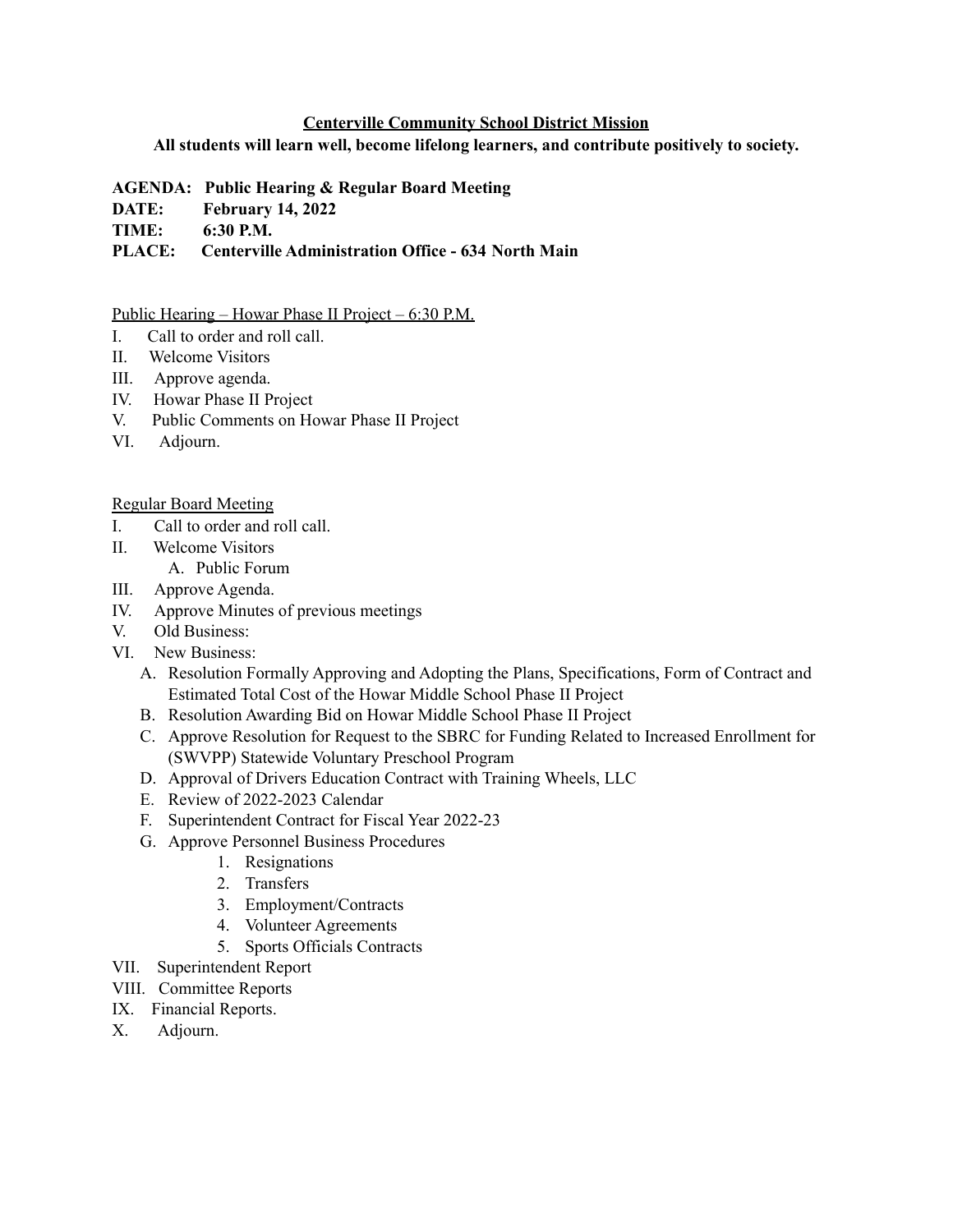## **Centerville Community School District Mission**

## **All students will learn well, become lifelong learners, and contribute positively to society.**

**AGENDA: Public Hearing & Regular Board Meeting**

- **DATE: February 14, 2022**
- **TIME: 6:30 P.M.**

**PLACE: Centerville Administration Office - 634 North Main**

## Public Hearing – Howar Phase II Project – 6:30 P.M.

- I. Call to order and roll call.
- II. Welcome Visitors
- III. Approve agenda.
- IV. Howar Phase II Project
- V. Public Comments on Howar Phase II Project
- VI. Adjourn.

## Regular Board Meeting

- I. Call to order and roll call.
- II. Welcome Visitors
	- A. Public Forum
- III. Approve Agenda.
- IV. Approve Minutes of previous meetings
- V. Old Business:
- VI. New Business:
	- A. Resolution Formally Approving and Adopting the Plans, Specifications, Form of Contract and Estimated Total Cost of the Howar Middle School Phase II Project
	- B. Resolution Awarding Bid on Howar Middle School Phase II Project
	- C. Approve Resolution for Request to the SBRC for Funding Related to Increased Enrollment for (SWVPP) Statewide Voluntary Preschool Program
	- D. Approval of Drivers Education Contract with Training Wheels, LLC
	- E. Review of 2022-2023 Calendar
	- F. Superintendent Contract for Fiscal Year 2022-23
	- G. Approve Personnel Business Procedures
		- 1. Resignations
		- 2. Transfers
		- 3. Employment/Contracts
		- 4. Volunteer Agreements
		- 5. Sports Officials Contracts
- VII. Superintendent Report
- VIII. Committee Reports
- IX. Financial Reports.
- X. Adjourn.